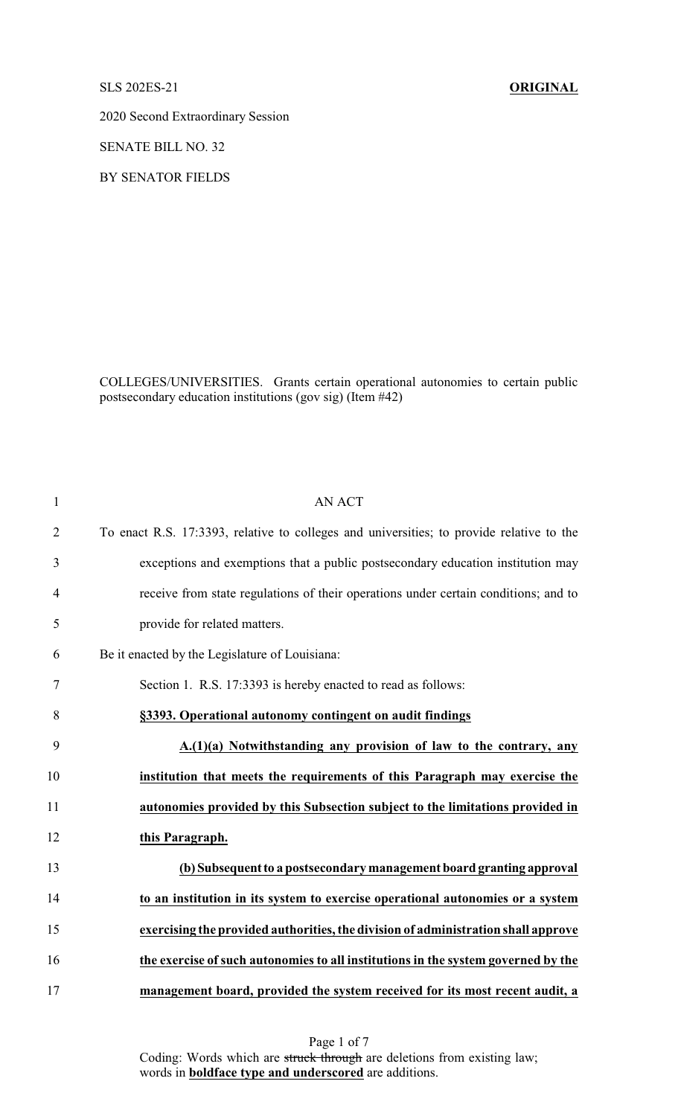## SLS 202ES-21 **ORIGINAL**

2020 Second Extraordinary Session

SENATE BILL NO. 32

BY SENATOR FIELDS

COLLEGES/UNIVERSITIES. Grants certain operational autonomies to certain public postsecondary education institutions (gov sig) (Item #42)

| $\mathbf{1}$   | <b>AN ACT</b>                                                                            |
|----------------|------------------------------------------------------------------------------------------|
| $\overline{2}$ | To enact R.S. 17:3393, relative to colleges and universities; to provide relative to the |
| 3              | exceptions and exemptions that a public postsecondary education institution may          |
| $\overline{4}$ | receive from state regulations of their operations under certain conditions; and to      |
| 5              | provide for related matters.                                                             |
| 6              | Be it enacted by the Legislature of Louisiana:                                           |
| 7              | Section 1. R.S. 17:3393 is hereby enacted to read as follows:                            |
| 8              | §3393. Operational autonomy contingent on audit findings                                 |
| 9              | A.(1)(a) Notwithstanding any provision of law to the contrary, any                       |
| 10             | institution that meets the requirements of this Paragraph may exercise the               |
| 11             | autonomies provided by this Subsection subject to the limitations provided in            |
| 12             | this Paragraph.                                                                          |
| 13             | (b) Subsequent to a postsecondary management board granting approval                     |
| 14             | to an institution in its system to exercise operational autonomies or a system           |
| 15             | exercising the provided authorities, the division of administration shall approve        |
| 16             | the exercise of such autonomies to all institutions in the system governed by the        |
| 17             | management board, provided the system received for its most recent audit, a              |

Page 1 of 7 Coding: Words which are struck through are deletions from existing law; words in **boldface type and underscored** are additions.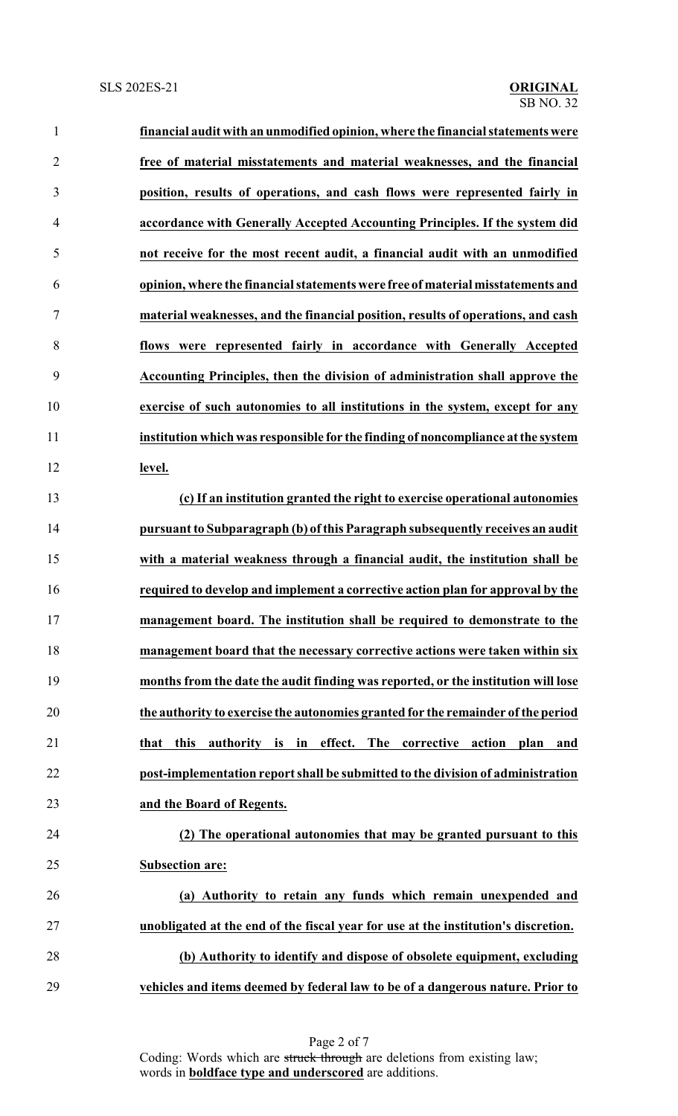| $\mathbf{1}$   | financial audit with an unmodified opinion, where the financial statements were              |
|----------------|----------------------------------------------------------------------------------------------|
| $\overline{2}$ | free of material misstatements and material weaknesses, and the financial                    |
| 3              | position, results of operations, and cash flows were represented fairly in                   |
| 4              | accordance with Generally Accepted Accounting Principles. If the system did                  |
| 5              | not receive for the most recent audit, a financial audit with an unmodified                  |
| 6              | opinion, where the financial statements were free of material misstatements and              |
| 7              | material weaknesses, and the financial position, results of operations, and cash             |
| 8              | flows were represented fairly in accordance with Generally Accepted                          |
| 9              | Accounting Principles, then the division of administration shall approve the                 |
| 10             | exercise of such autonomies to all institutions in the system, except for any                |
| 11             | institution which was responsible for the finding of noncompliance at the system             |
| 12             | level.                                                                                       |
| 13             | (c) If an institution granted the right to exercise operational autonomies                   |
| 14             | pursuant to Subparagraph (b) of this Paragraph subsequently receives an audit                |
| 15             | with a material weakness through a financial audit, the institution shall be                 |
| 16             | required to develop and implement a corrective action plan for approval by the               |
| 17             | management board. The institution shall be required to demonstrate to the                    |
| 18             | management board that the necessary corrective actions were taken within six                 |
| 19             | months from the date the audit finding was reported, or the institution will lose            |
| 20             | the authority to exercise the autonomies granted for the remainder of the period             |
| 21             | that this<br>authority is in<br>effect.<br><b>The</b><br>corrective<br>action<br>plan<br>and |
| 22             | post-implementation report shall be submitted to the division of administration              |
| 23             | and the Board of Regents.                                                                    |
| 24             | (2) The operational autonomies that may be granted pursuant to this                          |
| 25             | <b>Subsection are:</b>                                                                       |
| 26             | (a) Authority to retain any funds which remain unexpended and                                |
| 27             | unobligated at the end of the fiscal year for use at the institution's discretion.           |
| 28             | (b) Authority to identify and dispose of obsolete equipment, excluding                       |
| 29             | vehicles and items deemed by federal law to be of a dangerous nature. Prior to               |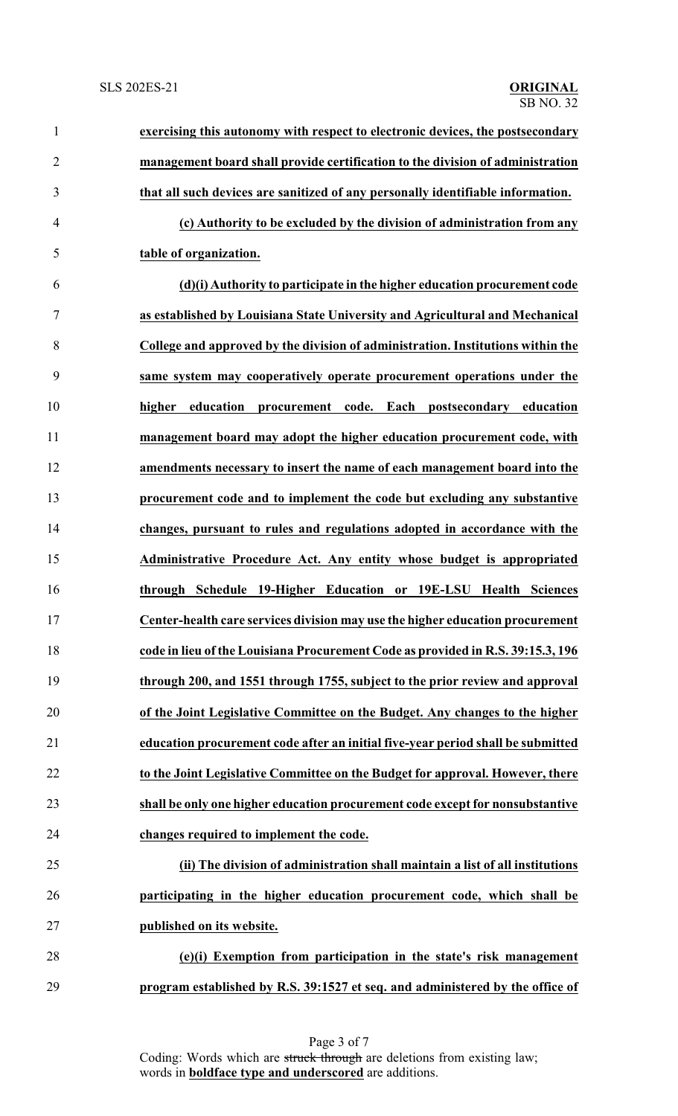| $\mathbf{1}$   | exercising this autonomy with respect to electronic devices, the postsecondary  |
|----------------|---------------------------------------------------------------------------------|
| $\overline{2}$ | management board shall provide certification to the division of administration  |
| 3              | that all such devices are sanitized of any personally identifiable information. |
| $\overline{4}$ | (c) Authority to be excluded by the division of administration from any         |
| 5              | table of organization.                                                          |
| 6              | (d)(i) Authority to participate in the higher education procurement code        |
| 7              | as established by Louisiana State University and Agricultural and Mechanical    |
| 8              | College and approved by the division of administration. Institutions within the |
| 9              | same system may cooperatively operate procurement operations under the          |
| 10             | higher education<br>procurement code. Each postsecondary education              |
| 11             | management board may adopt the higher education procurement code, with          |
| 12             | amendments necessary to insert the name of each management board into the       |
| 13             | procurement code and to implement the code but excluding any substantive        |
| 14             | changes, pursuant to rules and regulations adopted in accordance with the       |
| 15             | Administrative Procedure Act. Any entity whose budget is appropriated           |
| 16             | through Schedule 19-Higher Education or 19E-LSU Health Sciences                 |
| 17             | Center-health care services division may use the higher education procurement   |
| 18             | code in lieu of the Louisiana Procurement Code as provided in R.S. 39:15.3, 196 |
| 19             | through 200, and 1551 through 1755, subject to the prior review and approval    |
| 20             | of the Joint Legislative Committee on the Budget. Any changes to the higher     |
| 21             | education procurement code after an initial five-year period shall be submitted |
| 22             | to the Joint Legislative Committee on the Budget for approval. However, there   |
| 23             | shall be only one higher education procurement code except for nonsubstantive   |
| 24             | changes required to implement the code.                                         |
| 25             | (ii) The division of administration shall maintain a list of all institutions   |
| 26             | participating in the higher education procurement code, which shall be          |
| 27             | published on its website.                                                       |
| 28             | (e)(i) Exemption from participation in the state's risk management              |
| 29             | program established by R.S. 39:1527 et seq. and administered by the office of   |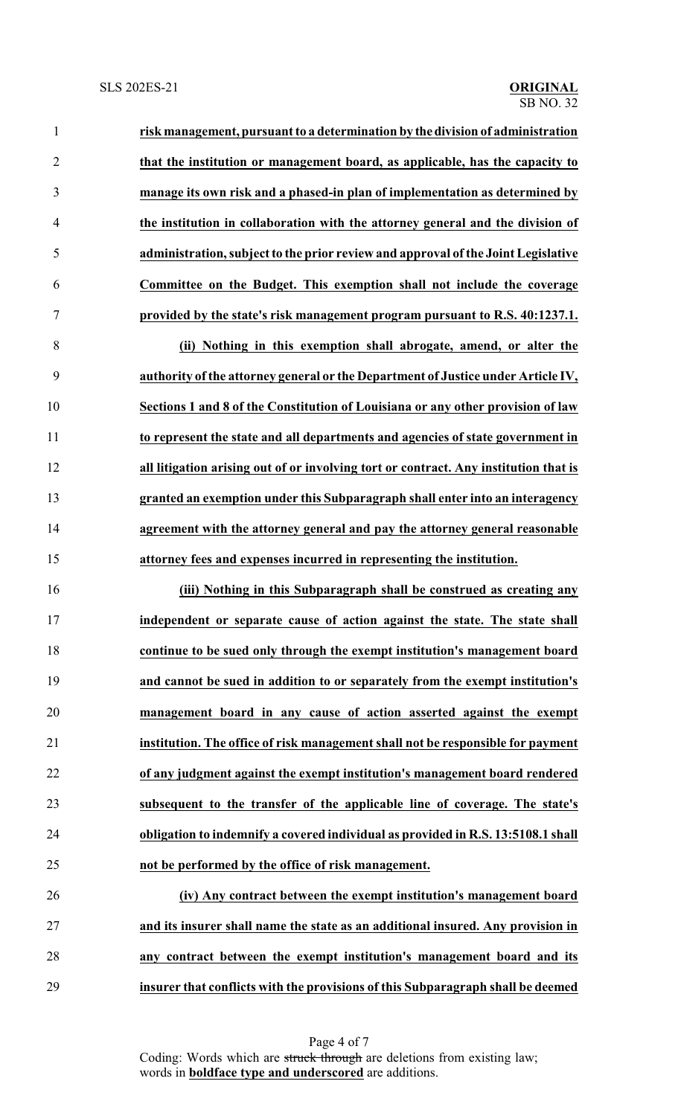| $\mathbf{1}$   | risk management, pursuant to a determination by the division of administration       |
|----------------|--------------------------------------------------------------------------------------|
| $\overline{2}$ | that the institution or management board, as applicable, has the capacity to         |
| 3              | manage its own risk and a phased-in plan of implementation as determined by          |
| 4              | the institution in collaboration with the attorney general and the division of       |
| 5              | administration, subject to the prior review and approval of the Joint Legislative    |
| 6              | Committee on the Budget. This exemption shall not include the coverage               |
| 7              | provided by the state's risk management program pursuant to R.S. 40:1237.1.          |
| 8              | (ii) Nothing in this exemption shall abrogate, amend, or alter the                   |
| 9              | authority of the attorney general or the Department of Justice under Article IV,     |
| 10             | Sections 1 and 8 of the Constitution of Louisiana or any other provision of law      |
| 11             | to represent the state and all departments and agencies of state government in       |
| 12             | all litigation arising out of or involving tort or contract. Any institution that is |

 **granted an exemption under this Subparagraph shall enter into an interagency agreement with the attorney general and pay the attorney general reasonable attorney fees and expenses incurred in representing the institution.**

 **(iii) Nothing in this Subparagraph shall be construed as creating any independent or separate cause of action against the state. The state shall continue to be sued only through the exempt institution's management board and cannot be sued in addition to or separately from the exempt institution's management board in any cause of action asserted against the exempt institution. The office of risk management shall not be responsible for payment of any judgment against the exempt institution's management board rendered subsequent to the transfer of the applicable line of coverage. The state's obligation to indemnify a covered individual as provided in R.S. 13:5108.1 shall not be performed by the office of risk management.**

 **(iv) Any contract between the exempt institution's management board and its insurer shall name the state as an additional insured. Any provision in any contract between the exempt institution's management board and its insurer that conflicts with the provisions of this Subparagraph shall be deemed**

> Page 4 of 7 Coding: Words which are struck through are deletions from existing law; words in **boldface type and underscored** are additions.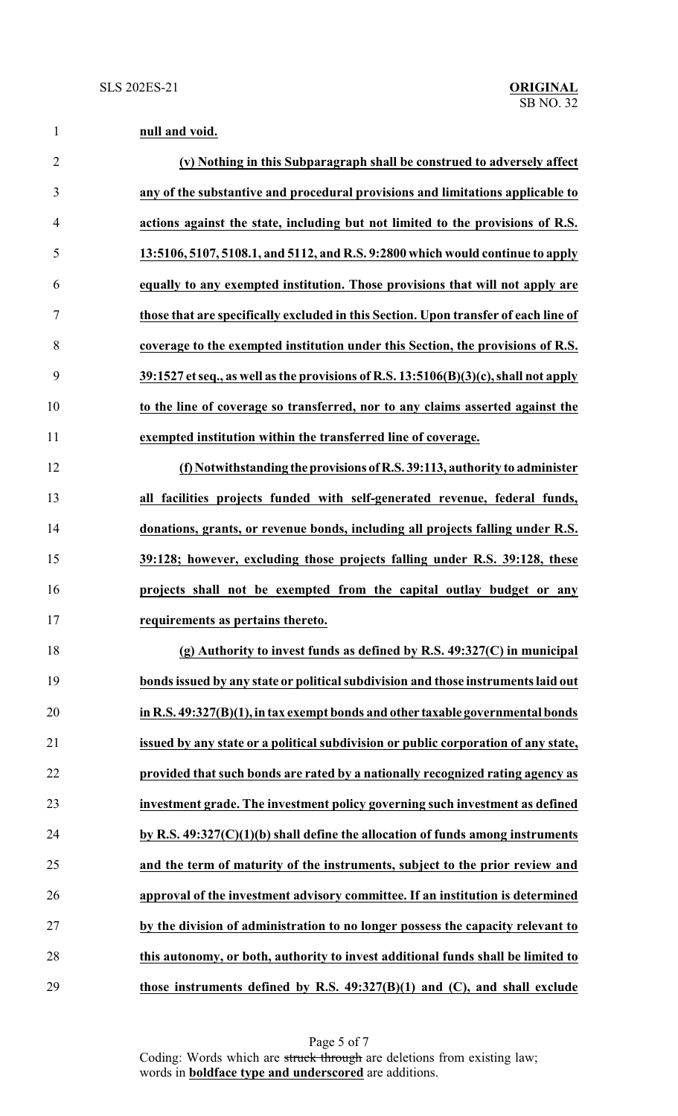|  | null and void. |
|--|----------------|
|  |                |

| $\overline{2}$ | (v) Nothing in this Subparagraph shall be construed to adversely affect              |
|----------------|--------------------------------------------------------------------------------------|
| 3              | any of the substantive and procedural provisions and limitations applicable to       |
| $\overline{4}$ | actions against the state, including but not limited to the provisions of R.S.       |
| 5              | 13:5106, 5107, 5108.1, and 5112, and R.S. 9:2800 which would continue to apply       |
| 6              | equally to any exempted institution. Those provisions that will not apply are        |
| 7              | those that are specifically excluded in this Section. Upon transfer of each line of  |
| 8              | coverage to the exempted institution under this Section, the provisions of R.S.      |
| 9              | 39:1527 et seq., as well as the provisions of R.S. 13:5106(B)(3)(c), shall not apply |
| 10             | to the line of coverage so transferred, nor to any claims asserted against the       |
| 11             | exempted institution within the transferred line of coverage.                        |
| 12             | (f) Notwithstanding the provisions of R.S. 39:113, authority to administer           |
| 13             | all facilities projects funded with self-generated revenue, federal funds,           |
| 14             | donations, grants, or revenue bonds, including all projects falling under R.S.       |
| 15             | 39:128; however, excluding those projects falling under R.S. 39:128, these           |
| 16             | projects shall not be exempted from the capital outlay budget or any                 |
| 17             | requirements as pertains thereto.                                                    |
| 18             | (g) Authority to invest funds as defined by R.S. $49:327(C)$ in municipal            |
| 19             | bonds issued by any state or political subdivision and those instruments laid out    |
| 20             | in R.S. 49:327(B)(1), in tax exempt bonds and other taxable governmental bonds       |
| 21             | issued by any state or a political subdivision or public corporation of any state,   |
| 22             | provided that such bonds are rated by a nationally recognized rating agency as       |
| 23             | investment grade. The investment policy governing such investment as defined         |
| 24             | by R.S. $49:327(C)(1)(b)$ shall define the allocation of funds among instruments     |
| 25             | and the term of maturity of the instruments, subject to the prior review and         |
| 26             | approval of the investment advisory committee. If an institution is determined       |
| 27             | by the division of administration to no longer possess the capacity relevant to      |
| 28             | this autonomy, or both, authority to invest additional funds shall be limited to     |
| 29             | those instruments defined by R.S. $49:327(B)(1)$ and (C), and shall exclude          |

Page 5 of 7 Coding: Words which are struck through are deletions from existing law; words in **boldface type and underscored** are additions.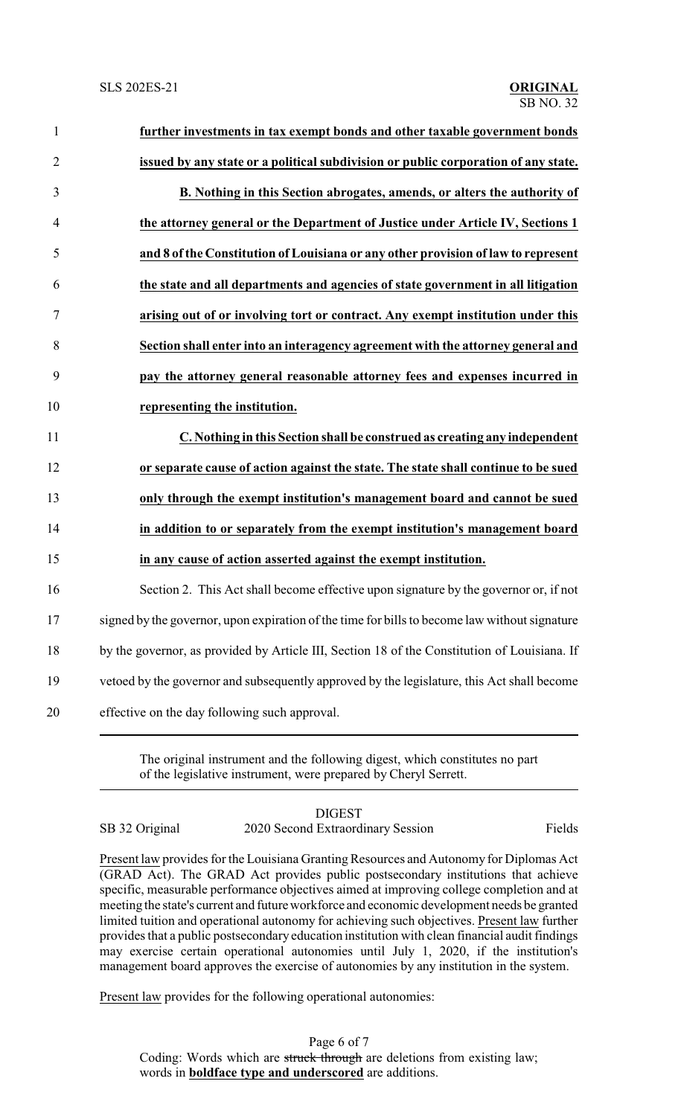| $\mathbf{1}$   | further investments in tax exempt bonds and other taxable government bonds                    |
|----------------|-----------------------------------------------------------------------------------------------|
| $\overline{2}$ | issued by any state or a political subdivision or public corporation of any state.            |
| $\mathfrak{Z}$ | B. Nothing in this Section abrogates, amends, or alters the authority of                      |
| $\overline{4}$ | the attorney general or the Department of Justice under Article IV, Sections 1                |
| 5              | and 8 of the Constitution of Louisiana or any other provision of law to represent             |
| 6              | the state and all departments and agencies of state government in all litigation              |
| 7              | arising out of or involving tort or contract. Any exempt institution under this               |
| 8              | Section shall enter into an interagency agreement with the attorney general and               |
| 9              | pay the attorney general reasonable attorney fees and expenses incurred in                    |
| 10             | representing the institution.                                                                 |
| 11             | C. Nothing in this Section shall be construed as creating any independent                     |
| 12             | or separate cause of action against the state. The state shall continue to be sued            |
| 13             | only through the exempt institution's management board and cannot be sued                     |
| 14             | in addition to or separately from the exempt institution's management board                   |
| 15             | in any cause of action asserted against the exempt institution.                               |
| 16             | Section 2. This Act shall become effective upon signature by the governor or, if not          |
| 17             | signed by the governor, upon expiration of the time for bills to become law without signature |
| 18             | by the governor, as provided by Article III, Section 18 of the Constitution of Louisiana. If  |
| 19             | vetoed by the governor and subsequently approved by the legislature, this Act shall become    |
| 20             | effective on the day following such approval.                                                 |

The original instrument and the following digest, which constitutes no part of the legislative instrument, were prepared by Cheryl Serrett.

## DIGEST SB 32 Original 2020 Second Extraordinary Session Fields

Present law provides for the Louisiana Granting Resources and Autonomy for Diplomas Act (GRAD Act). The GRAD Act provides public postsecondary institutions that achieve specific, measurable performance objectives aimed at improving college completion and at meeting the state's current and futureworkforce and economic development needs be granted limited tuition and operational autonomy for achieving such objectives. Present law further provides that a public postsecondary education institution with clean financial audit findings may exercise certain operational autonomies until July 1, 2020, if the institution's management board approves the exercise of autonomies by any institution in the system.

Present law provides for the following operational autonomies:

Page 6 of 7 Coding: Words which are struck through are deletions from existing law; words in **boldface type and underscored** are additions.